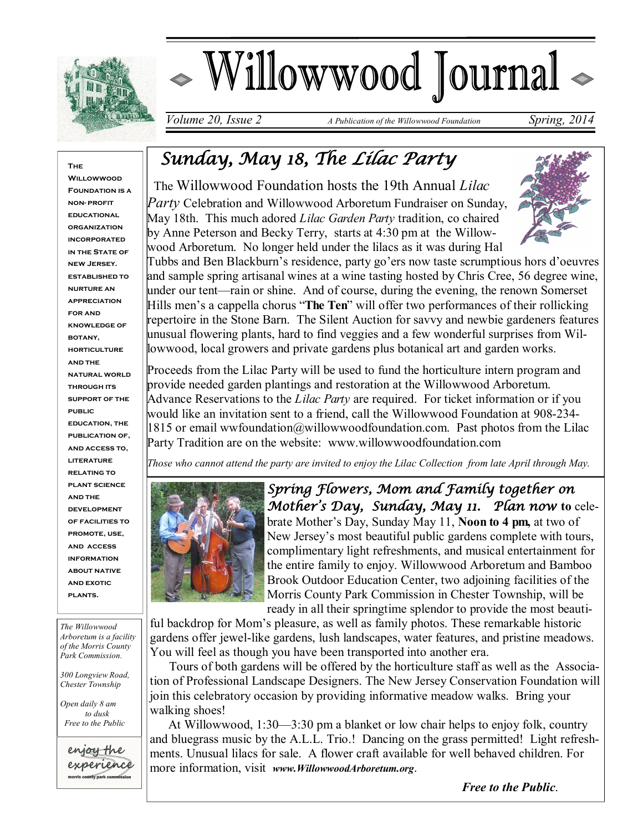

# Willowwood Journal

*Volume 20, Issue 2 A Publication of the Willowwood Foundation Spring, 2014* 

#### **The**

**Willowwoon FOUNDATION IS A non- profit educational organization incorporated IN THE STATE OF new Jersey. established to nurture an appreciation for and knowledge of botany, horticulture and the natural world through its support of the public education, the publication of, and access to, literature relating to plant science and the development of facilities to promote, use, and access information about native and exotic plants.**

*The Willowwood Arboretum is a facility of the Morris County Park Commission.*

*300 Longview Road, Chester Township*

*Open daily 8 am to dusk Free to the Public*



## *Sunday, May 18, The Lilac Party*

 The Willowwood Foundation hosts the 19th Annual *Lilac Party* Celebration and Willowwood Arboretum Fundraiser on Sunday, May 18th. This much adored *Lilac Garden Party* tradition, co chaired by Anne Peterson and Becky Terry, starts at 4:30 pm at the Willowwood Arboretum. No longer held under the lilacs as it was during Hal



Tubbs and Ben Blackburn's residence, party go'ers now taste scrumptious hors d'oeuvres and sample spring artisanal wines at a wine tasting hosted by Chris Cree, 56 degree wine, under our tent—rain or shine. And of course, during the evening, the renown Somerset Hills men's a cappella chorus "**The Ten**" will offer two performances of their rollicking repertoire in the Stone Barn. The Silent Auction for savvy and newbie gardeners features unusual flowering plants, hard to find veggies and a few wonderful surprises from Willowwood, local growers and private gardens plus botanical art and garden works.

Proceeds from the Lilac Party will be used to fund the horticulture intern program and provide needed garden plantings and restoration at the Willowwood Arboretum. Advance Reservations to the *Lilac Party* are required. For ticket information or if you would like an invitation sent to a friend, call the Willowwood Foundation at 908-234-  $1815$  or email wwfoundation@willowwoodfoundation.com. Past photos from the Lilac Party Tradition are on the website: www.willowwoodfoundation.com

*Those who cannot attend the party are invited to enjoy the Lilac Collection from late April through May.* 



*Spring Flowers, Mom and Family together on Mother's Day, Sunday, May 11. Plan now* **to** celebrate Mother's Day, Sunday May 11, **Noon to 4 pm,** at two of New Jersey's most beautiful public gardens complete with tours, complimentary light refreshments, and musical entertainment for the entire family to enjoy. Willowwood Arboretum and Bamboo Brook Outdoor Education Center, two adjoining facilities of the Morris County Park Commission in Chester Township, will be ready in all their springtime splendor to provide the most beauti-

ful backdrop for Mom's pleasure, as well as family photos. These remarkable historic gardens offer jewel-like gardens, lush landscapes, water features, and pristine meadows. You will feel as though you have been transported into another era.

 Tours of both gardens will be offered by the horticulture staff as well as the Association of Professional Landscape Designers. The New Jersey Conservation Foundation will join this celebratory occasion by providing informative meadow walks. Bring your walking shoes!

 At Willowwood, 1:30—3:30 pm a blanket or low chair helps to enjoy folk, country and bluegrass music by the A.L.L. Trio.! Dancing on the grass permitted! Light refreshments. Unusual lilacs for sale. A flower craft available for well behaved children. For more information, visit *www.WillowwoodArboretum.org*.

 *Free to the Public*.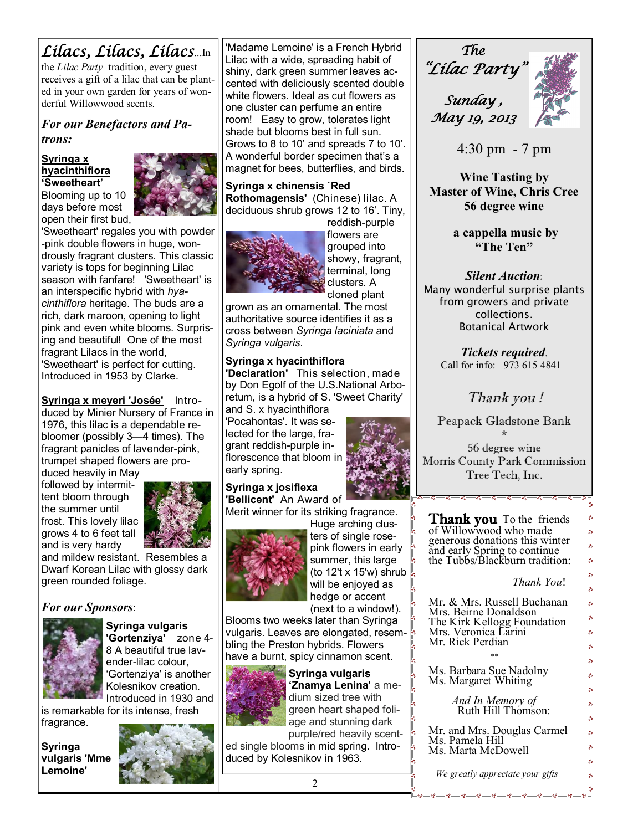### *Lilacs, Lilacs, Lilacs*...In

the *Lilac Party* tradition, every guest receives a gift of a lilac that can be planted in your own garden for years of wonderful Willowwood scents.

*For our Benefactors and Patrons:* 

#### **Syringa x hyacinthiflora 'Sweetheart'**



Blooming up to 10 days before most open their first bud,

'Sweetheart' regales you with powder -pink double flowers in huge, wondrously fragrant clusters. This classic variety is tops for beginning Lilac season with fanfare! 'Sweetheart' is an interspecific hybrid with *hyacinthiflora* heritage. The buds are a rich, dark maroon, opening to light pink and even white blooms. Surprising and beautiful! One of the most fragrant Lilacs in the world, 'Sweetheart' is perfect for cutting. Introduced in 1953 by Clarke.

**Syringa x meyeri 'Josée'** Introduced by Minier Nursery of France in 1976, this lilac is a dependable rebloomer (possibly 3—4 times). The fragrant panicles of lavender-pink, trumpet shaped flowers are pro-

duced heavily in May followed by intermittent bloom through the summer until frost. This lovely lilac grows 4 to 6 feet tall and is very hardy



and mildew resistant. Resembles a Dwarf Korean Lilac with glossy dark green rounded foliage.

#### *For our Sponsors*:



**Syringa vulgaris 'Gortenziya'** zone 4- 8 A beautiful true lavender-lilac colour, 'Gortenziya' is another Kolesnikov creation.

Introduced in 1930 and is remarkable for its intense, fresh

fragrance.

**Syringa vulgaris 'Mme Lemoine'** 



'Madame Lemoine' is a French Hybrid Lilac with a wide, spreading habit of shiny, dark green summer leaves accented with deliciously scented double white flowers. Ideal as cut flowers as one cluster can perfume an entire room! Easy to grow, tolerates light shade but blooms best in full sun. Grows to 8 to 10' and spreads 7 to 10'. A wonderful border specimen that's a magnet for bees, butterflies, and birds.

**Syringa x chinensis `Red Rothomagensis'** (Chinese) lilac. A deciduous shrub grows 12 to 16'. Tiny,



reddish-purple flowers are grouped into showy, fragrant, terminal, long clusters. A cloned plant

grown as an ornamental. The most authoritative source identifies it as a cross between *Syringa laciniata* and *Syringa vulgaris*.

#### **Syringa x hyacinthiflora**

**'Declaration'** This selection, made by Don Egolf of the U.S.National Arboretum, is a hybrid of S. 'Sweet Charity' and S. x hyacinthiflora

'Pocahontas'. It was selected for the large, fragrant reddish-purple inflorescence that bloom in early spring.



**Syringa x josiflexa 'Bellicent'** An Award of Merit winner for its striking fragrance.

Huge arching clus-



ters of single rosepink flowers in early summer, this large (to 12't x 15'w) shrub  $\frac{1}{8}$ will be enjoyed as hedge or accent (next to a window!).

Blooms two weeks later than Syringa vulgaris. Leaves are elongated, resembling the Preston hybrids. Flowers have a burnt, spicy cinnamon scent.



**Syringa vulgaris 'Znamya Lenina'** a medium sized tree with green heart shaped foliage and stunning dark purple/red heavily scent-

ed single blooms in mid spring. Introduced by Kolesnikov in 1963.

*The "Lilac Party"* 

 *Sunday , May 19, 2013* 



4:30 pm - 7 pm

**Wine Tasting by Master of Wine, Chris Cree 56 degree wine**

> **a cappella music by "The Ten"**

#### *Silent Auction*:

Many wonderful surprise plants from growers and private collections. Botanical Artwork

> *Tickets required*. Call for info: 973 615 4841

#### *Thank you !*

Peapack Gladstone Bank

\* 56 degree wine Morris County Park Commission Tree Tech, Inc.

<u>. . . . . . . .</u> .

**Thank you** To the friends of Willowwood who made generous donations this winter and early Spring to continue the Tubbs/Blackburn tradition:

#### *Thank You*!

Mr. & Mrs. Russell Buchanan Mrs. Beirne Donaldson The Kirk Kellogg Foundation Mrs. Veronica Larini Mr. Rick Perdian

Ms. Barbara Sue Nadolny Ms. Margaret Whiting

\*\*

 *And In Memory of*  Ruth Hill Thomson:

Mr. and Mrs. Douglas Carmel Ms. Pamela Hill Ms. Marta McDowell

 *We greatly appreciate your gifts*

<u>.</u><br><u>Les es s es es es es es es es es es es</u>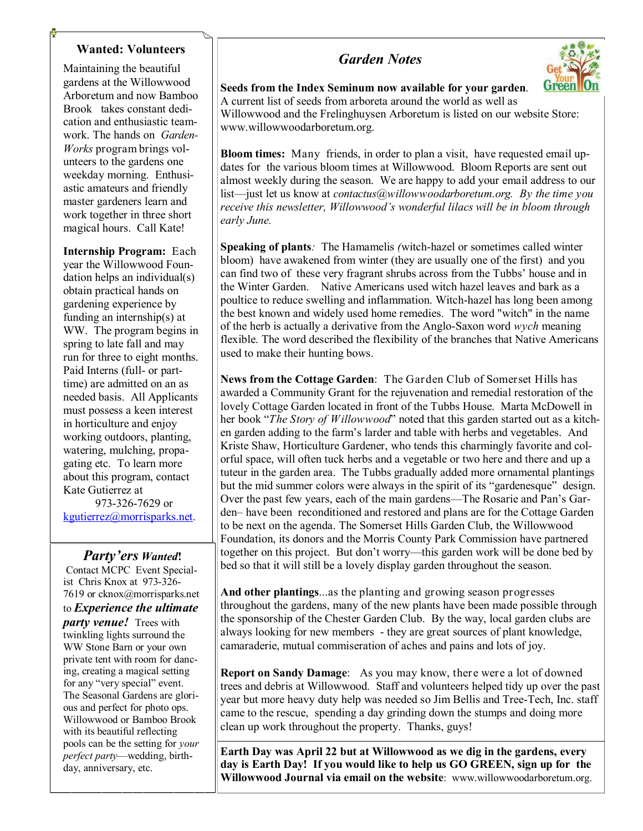#### **Wanted: Volunteers**

Maintaining the beautiful gardens at the Willowwood Arboretum and now Bamboo Brook takes constant dedication and enthusiastic teamwork. The hands on *Garden-Works* program brings volunteers to the gardens one weekday morning. Enthusiastic amateurs and friendly master gardeners learn and work together in three short magical hours. Call Kate!

**Internship Program:** Each year the Willowwood Foundation helps an individual(s) obtain practical hands on gardening experience by funding an internship(s) at WW. The program begins in spring to late fall and may run for three to eight months. Paid Interns (full- or parttime) are admitted on an as needed basis. All Applicants must possess a keen interest in horticulture and enjoy working outdoors, planting, watering, mulching, propagating etc. To learn more about this program, contact Kate Gutierrez at 973-326-7629 or

kgutierrez@morrisparks.net.

#### *Party'ers Wanted***!**

Contact MCPC Event Specialist Chris Knox at 973-326- 7619 or cknox@morrisparks.net to *Experience the ultimate* 

*party venue!* Trees with twinkling lights surround the WW Stone Barn or your own private tent with room for dancing, creating a magical setting for any "very special" event. The Seasonal Gardens are glorious and perfect for photo ops. Willowwood or Bamboo Brook with its beautiful reflecting pools can be the setting for *your perfect party*—wedding, birthday, anniversary, etc.

#### *Garden Notes*



**Seeds from the Index Seminum now available for your garden**. A current list of seeds from arboreta around the world as well as Willowwood and the Frelinghuysen Arboretum is listed on our website Store: www.willowwoodarboretum.org.

**Bloom times:** Manyfriends, in order to plan a visit, have requested email updates for the various bloom times at Willowwood. Bloom Reports are sent out almost weekly during the season. We are happy to add your email address to our list—just let us know at *contactus@willowwoodarboretum.org. By the time you receive this newsletter, Willowwood's wonderful lilacs will be in bloom through early June.*

**Speaking of plants***:* The Hamamelis *(*witch-hazel or sometimes called winter bloom) have awakened from winter (they are usually one of the first) and you can find two of these very fragrant shrubs across from the Tubbs' house and in the Winter Garden. Native Americans used witch hazel leaves and bark as a poultice to reduce swelling and inflammation. Witch-hazel has long been among the best known and widely used home remedies. The word "witch" in the name of the herb is actually a derivative from the Anglo-Saxon word *wych* meaning flexible. The word described the flexibility of the branches that Native Americans used to make their hunting bows.

**News from the Cottage Garden**: The Garden Club of Somerset Hills has awarded a Community Grant for the rejuvenation and remedial restoration of the lovely Cottage Garden located in front of the Tubbs House. Marta McDowell in her book "*The Story of Willowwood*" noted that this garden started out as a kitchen garden adding to the farm's larder and table with herbs and vegetables. And Kriste Shaw, Horticulture Gardener, who tends this charmingly favorite and colorful space, will often tuck herbs and a vegetable or two here and there and up a tuteur in the garden area. The Tubbs gradually added more ornamental plantings but the mid summer colors were always in the spirit of its "gardenesque" design. Over the past few years, each of the main gardens—The Rosarie and Pan's Garden– have been reconditioned and restored and plans are for the Cottage Garden to be next on the agenda. The Somerset Hills Garden Club, the Willowwood Foundation, its donors and the Morris County Park Commission have partnered together on this project. But don't worry—this garden work will be done bed by bed so that it will still be a lovely display garden throughout the season.

**And other plantings**...as the planting and growing season progresses throughout the gardens, many of the new plants have been made possible through the sponsorship of the Chester Garden Club. By the way, local garden clubs are always looking for new members - they are great sources of plant knowledge, camaraderie, mutual commiseration of aches and pains and lots of joy.

**Report on Sandy Damage**: As you may know, there were a lot of downed trees and debris at Willowwood. Staff and volunteers helped tidy up over the past year but more heavy duty help was needed so Jim Bellis and Tree-Tech, Inc. staff came to the rescue, spending a day grinding down the stumps and doing more clean up work throughout the property. Thanks, guys!

**Earth Day was April 22 but at Willowwood as we dig in the gardens, every day is Earth Day! If you would like to help us GO GREEN, sign up for the Willowwood Journal via email on the website**: www.willowwoodarboretum.org.